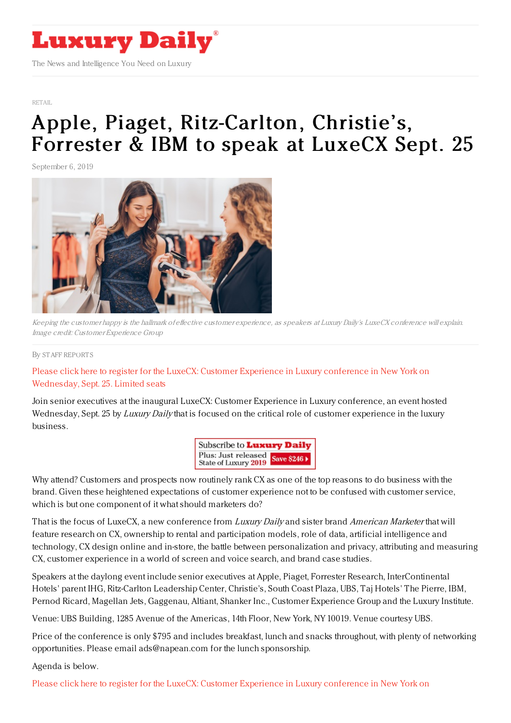

#### [RETAIL](https://www.luxurydaily.com/category/sectors/retail-industry-sectors/)

# Apple, Piaget, [Ritz-Carlton,](https://www.luxurydaily.com/apple-piaget-ritz-carlton-christies-forrester-ibm-to-speak-at-luxecx-sept-25-5/) Christie's, Forrester & IBM to speak at LuxeCX Sept. 25

September 6, 2019



Keeping the customer happy is the hallmark of effective customer experience, as speakers at Luxury Daily's LuxeCX conference will explain. Image credit: Customer Experience Group

#### By STAFF [REPORT](file:///author/staff-reports) S

## Please click here to register for the LuxeCX: Customer Experience in Luxury [conference](https://www.luxurydaily.com/conference-page/) in New York on Wednesday, Sept. 25. Limited seats

Join senior executives at the inaugural LuxeCX: Customer Experience in Luxury conference, an event hosted Wednesday, Sept. 25 by Luxury Daily that is focused on the critical role of customer experience in the luxury business.

> Subscribe to Luxury Daily Plus: Just released Save \$246 > State of Luxury 2019

Why attend? Customers and prospects now routinely rank CX as one of the top reasons to do business with the brand. Given these heightened expectations of customer experience not to be confused with customer service, which is but one component of it what should marketers do?

That is the focus of LuxeCX, a new conference from *Luxury Daily* and sister brand *American Marketer* that will feature research on CX, ownership to rental and participation models, role of data, artificial intelligence and technology, CX design online and in-store, the battle between personalization and privacy, attributing and measuring CX, customer experience in a world of screen and voice search, and brand case studies.

Speakers at the daylong event include senior executives at Apple, Piaget, Forrester Research, InterContinental Hotels' parent IHG, Ritz-Carlton Leadership Center, Christie's, South Coast Plaza, UBS, Taj Hotels' The Pierre, IBM, Pernod Ricard, Magellan Jets, Gaggenau, Altiant, Shanker Inc., Customer Experience Group and the Luxury Institute.

Venue: UBS Building, 1285 Avenue of the Americas, 14th Floor, New York, NY 10019. Venue courtesy UBS.

Price of the conference is only \$795 and includes breakfast, lunch and snacks throughout, with plenty of networking opportunities. Please email ads@napean.com for the lunch sponsorship.

Agenda is below.

Please click here to register for the LuxeCX: Customer Experience in Luxury [conference](https://www.luxurydaily.com/conference-page/) in New York on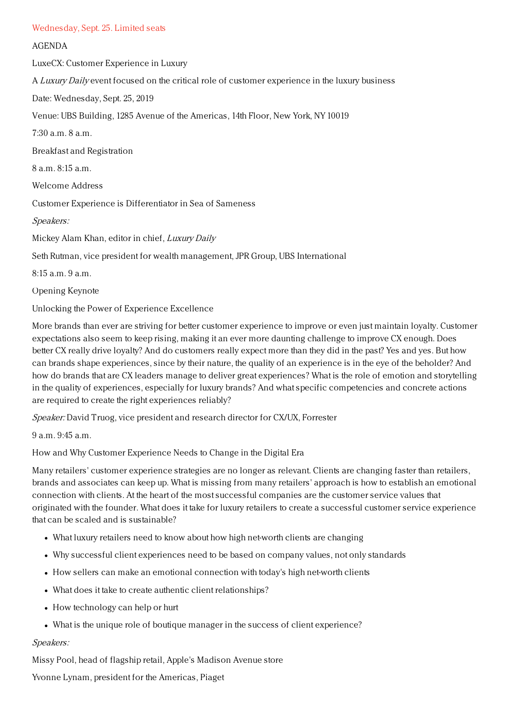#### Wednesday, Sept. 25. Limited seats

### AGENDA

LuxeCX: Customer Experience in Luxury

A Luxury Daily event focused on the critical role of customer experience in the luxury business

Date: Wednesday, Sept. 25, 2019

Venue: UBS Building, 1285 Avenue of the Americas, 14th Floor, New York, NY 10019

7:30 a.m. 8 a.m.

Breakfast and Registration

8 a.m. 8:15 a.m.

Welcome Address

Customer Experience is Differentiator in Sea of Sameness

## Speakers:

Mickey Alam Khan, editor in chief, Luxury Daily

Seth Rutman, vice president for wealth management, JPR Group, UBS International

 $8.15$  a.m. 9 a.m.

Opening Keynote

Unlocking the Power of Experience Excellence

More brands than ever are striving for better customer experience to improve or even just maintain loyalty. Customer expectations also seem to keep rising, making it an ever more daunting challenge to improve CX enough. Does better CX really drive loyalty? And do customers really expect more than they did in the past? Yes and yes. But how can brands shape experiences, since by their nature, the quality of an experience is in the eye of the beholder? And how do brands that are CX leaders manage to deliver great experiences? What is the role of emotion and storytelling in the quality of experiences, especially for luxury brands? And what specific competencies and concrete actions are required to create the right experiences reliably?

Speaker: David Truog, vice president and research director for CX/UX, Forrester

9 a.m. 9:45 a.m.

How and Why Customer Experience Needs to Change in the Digital Era

Many retailers' customer experience strategies are no longer as relevant. Clients are changing faster than retailers, brands and associates can keep up. What is missing from many retailers' approach is how to establish an emotional connection with clients. At the heart of the most successful companies are the customer service values that originated with the founder. What does it take for luxury retailers to create a successful customer service experience that can be scaled and is sustainable?

- What luxury retailers need to know about how high net-worth clients are changing
- Why successful client experiences need to be based on company values, not only standards
- How sellers can make an emotional connection with today's high net-worth clients
- What does it take to create authentic client relationships?
- How technology can help or hurt
- What is the unique role of boutique manager in the success of client experience?

## Speakers:

Missy Pool, head of flagship retail, Apple's Madison Avenue store

Yvonne Lynam, president for the Americas, Piaget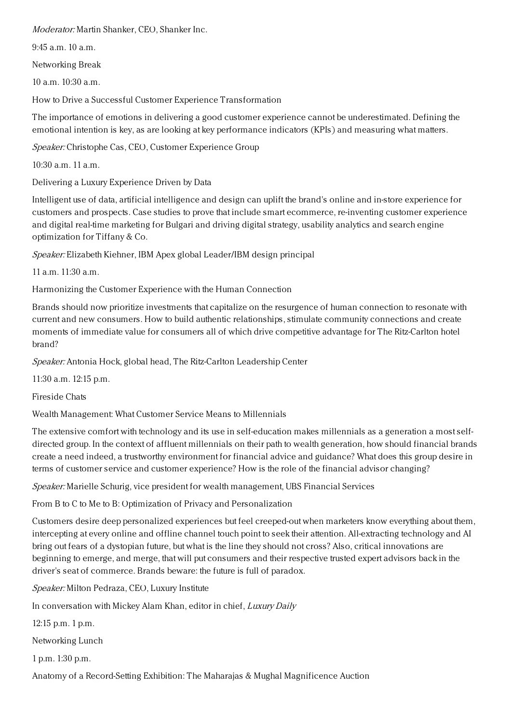Moderator: Martin Shanker, CEO, Shanker Inc.

9:45 a.m. 10 a.m.

Networking Break

 $10 a m$ .  $10:30 a m$ .

How to Drive a Successful Customer Experience Transformation

The importance of emotions in delivering a good customer experience cannot be underestimated. Defining the emotional intention is key, as are looking at key performance indicators (KPIs) and measuring what matters.

Speaker: Christophe Cas, CEO, Customer Experience Group

10:30 a.m. 11 a.m.

Delivering a Luxury Experience Driven by Data

Intelligent use of data, artificial intelligence and design can uplift the brand's online and in-store experience for customers and prospects. Case studies to prove that include smart ecommerce, re-inventing customer experience and digital real-time marketing for Bulgari and driving digital strategy, usability analytics and search engine optimization for Tiffany & Co.

Speaker: Elizabeth Kiehner, IBM Apex global Leader/IBM design principal

11 a.m. 11:30 a.m.

Harmonizing the Customer Experience with the Human Connection

Brands should now prioritize investments that capitalize on the resurgence of human connection to resonate with current and new consumers. How to build authentic relationships, stimulate community connections and create moments of immediate value for consumers all of which drive competitive advantage for The Ritz-Carlton hotel brand?

Speaker: Antonia Hock, global head, The Ritz-Carlton Leadership Center

11:30 a.m. 12:15 p.m.

Fireside Chats

Wealth Management: What Customer Service Means to Millennials

The extensive comfort with technology and its use in self-education makes millennials as a generation a most selfdirected group. In the context of affluent millennials on their path to wealth generation, how should financial brands create a need indeed, a trustworthy environment for financial advice and guidance? What does this group desire in terms of customer service and customer experience? How is the role of the financial advisor changing?

Speaker: Marielle Schurig, vice president for wealth management, UBS Financial Services

From B to C to Me to B: Optimization of Privacy and Personalization

Customers desire deep personalized experiences but feel creeped-out when marketers know everything about them, intercepting at every online and offline channel touch point to seek their attention. All-extracting technology and AI bring out fears of a dystopian future, but what is the line they should not cross? Also, critical innovations are beginning to emerge, and merge, that will put consumers and their respective trusted expert advisors back in the driver's seat of commerce. Brands beware: the future is full of paradox.

Speaker: Milton Pedraza, CEO, Luxury Institute

In conversation with Mickey Alam Khan, editor in chief, Luxury Daily

12:15 p.m. 1 p.m.

Networking Lunch

1 p.m. 1:30 p.m.

Anatomy of a Record-Setting Exhibition: The Maharajas & Mughal Magnificence Auction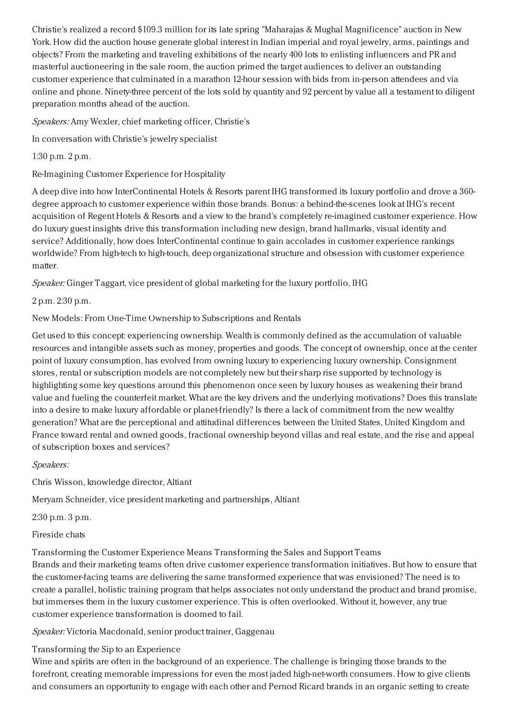Christie's realized a record \$109.3 million for its late spring "Maharajas & Mughal Magnificence" auction in New York. How did the auction house generate global interest in Indian imperial and royal jewelry, arms, paintings and objects? From the marketing and traveling exhibitions of the nearly 400 lots to enlisting influencers and PR and masterful auctioneering in the sale room, the auction primed the target audiences to deliver an outstanding customer experience that culminated in a marathon 12-hour session with bids from in-person attendees and via online and phone. Ninety-three percent of the lots sold by quantity and 92 percent by value all a testament to diligent preparation months ahead of the auction.

Speakers: Amy Wexler, chief marketing officer, Christie's

In conversation with Christie's jewelry specialist

1:30 p.m. 2 p.m.

Re-Imagining Customer Experience for Hospitality

A deep dive into how InterContinental Hotels & Resorts parent IHG transformed its luxury portfolio and drove a 360 degree approach to customer experience within those brands. Bonus: a behind-the-scenes look at IHG's recent acquisition of Regent Hotels & Resorts and a view to the brand's completely re-imagined customer experience. How do luxury guest insights drive this transformation including new design, brand hallmarks, visual identity and service? Additionally, how does InterContinental continue to gain accolades in customer experience rankings worldwide? From high-tech to high-touch, deep organizational structure and obsession with customer experience matter.

Speaker: Ginger Taggart, vice president of global marketing for the luxury portfolio, IHG

2 p.m. 2:30 p.m.

New Models: From One-Time Ownership to Subscriptions and Rentals

Get used to this concept: experiencing ownership. Wealth is commonly defined as the accumulation of valuable resources and intangible assets such as money, properties and goods. The concept of ownership, once at the center point of luxury consumption, has evolved from owning luxury to experiencing luxury ownership. Consignment stores, rental or subscription models are not completely new but their sharp rise supported by technology is highlighting some key questions around this phenomenon once seen by luxury houses as weakening their brand value and fueling the counterfeit market. What are the key drivers and the underlying motivations? Does this translate into a desire to make luxury affordable or planet-friendly? Is there a lack of commitment from the new wealthy generation? What are the perceptional and attitudinal differences between the United States, United Kingdom and France toward rental and owned goods, fractional ownership beyond villas and real estate, and the rise and appeal of subscription boxes and services?

Speakers:

Chris Wisson, knowledge director, Altiant

Meryam Schneider, vice president marketing and partnerships, Altiant

2:30 p.m. 3 p.m.

Fireside chats

Transforming the Customer Experience Means Transforming the Sales and Support Teams

Brands and their marketing teams often drive customer experience transformation initiatives. But how to ensure that the customer-facing teams are delivering the same transformed experience that was envisioned? The need is to create a parallel, holistic training program that helps associates not only understand the product and brand promise, but immerses them in the luxury customer experience. This is often overlooked. Without it, however, any true customer experience transformation is doomed to fail.

Speaker: Victoria Macdonald, senior product trainer, Gaggenau

Transforming the Sip to an Experience

Wine and spirits are often in the background of an experience. The challenge is bringing those brands to the forefront, creating memorable impressions for even the most jaded high-net-worth consumers. How to give clients and consumers an opportunity to engage with each other and Pernod Ricard brands in an organic setting to create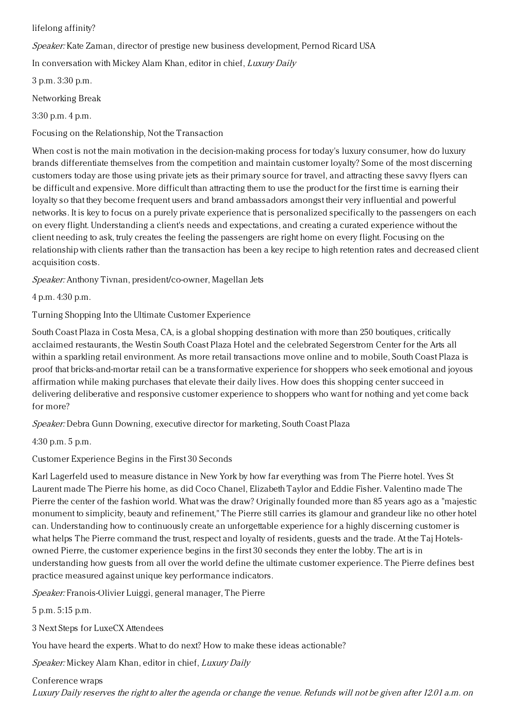## lifelong affinity?

Speaker: Kate Zaman, director of prestige new business development, Pernod Ricard USA

In conversation with Mickey Alam Khan, editor in chief, Luxury Daily

3 p.m. 3:30 p.m.

Networking Break

3:30 p.m. 4 p.m.

Focusing on the Relationship, Not the Transaction

When cost is not the main motivation in the decision-making process for today's luxury consumer, how do luxury brands differentiate themselves from the competition and maintain customer loyalty? Some of the most discerning customers today are those using private jets as their primary source for travel, and attracting these savvy flyers can be difficult and expensive. More difficult than attracting them to use the product for the first time is earning their loyalty so that they become frequent users and brand ambassadors amongst their very influential and powerful networks. It is key to focus on a purely private experience that is personalized specifically to the passengers on each on every flight. Understanding a client's needs and expectations, and creating a curated experience without the client needing to ask, truly creates the feeling the passengers are right home on every flight. Focusing on the relationship with clients rather than the transaction has been a key recipe to high retention rates and decreased client acquisition costs.

Speaker: Anthony Tivnan, president/co-owner, Magellan Jets

4 p.m. 4:30 p.m.

Turning Shopping Into the Ultimate Customer Experience

South Coast Plaza in Costa Mesa, CA, is a global shopping destination with more than 250 boutiques, critically acclaimed restaurants, the Westin South Coast Plaza Hotel and the celebrated Segerstrom Center for the Arts all within a sparkling retail environment. As more retail transactions move online and to mobile, South Coast Plaza is proof that bricks-and-mortar retail can be a transformative experience for shoppers who seek emotional and joyous affirmation while making purchases that elevate their daily lives. How does this shopping center succeed in delivering deliberative and responsive customer experience to shoppers who want for nothing and yet come back for more?

Speaker: Debra Gunn Downing, executive director for marketing, South Coast Plaza

4:30 p.m. 5 p.m.

## Customer Experience Begins in the First 30 Seconds

Karl Lagerfeld used to measure distance in New York by how far everything was from The Pierre hotel. Yves St Laurent made The Pierre his home, as did Coco Chanel, Elizabeth Taylor and Eddie Fisher. Valentino made The Pierre the center of the fashion world. What was the draw? Originally founded more than 85 years ago as a "majestic monument to simplicity, beauty and refinement," The Pierre still carries its glamour and grandeur like no other hotel can. Understanding how to continuously create an unforgettable experience for a highly discerning customer is what helps The Pierre command the trust, respect and loyalty of residents, guests and the trade. At the Taj Hotelsowned Pierre, the customer experience begins in the first 30 seconds they enter the lobby. The art is in understanding how guests from all over the world define the ultimate customer experience. The Pierre defines best practice measured against unique key performance indicators.

Speaker: Franois-Olivier Luiggi, general manager, The Pierre

5 p.m. 5:15 p.m.

3 Next Steps for LuxeCX Attendees

You have heard the experts. What to do next? How to make these ideas actionable?

Speaker: Mickey Alam Khan, editor in chief, Luxury Daily

Conference wraps Luxury Daily reserves the right to alter the agenda or change the venue. Refunds will not be given after 12.01 a.m. on